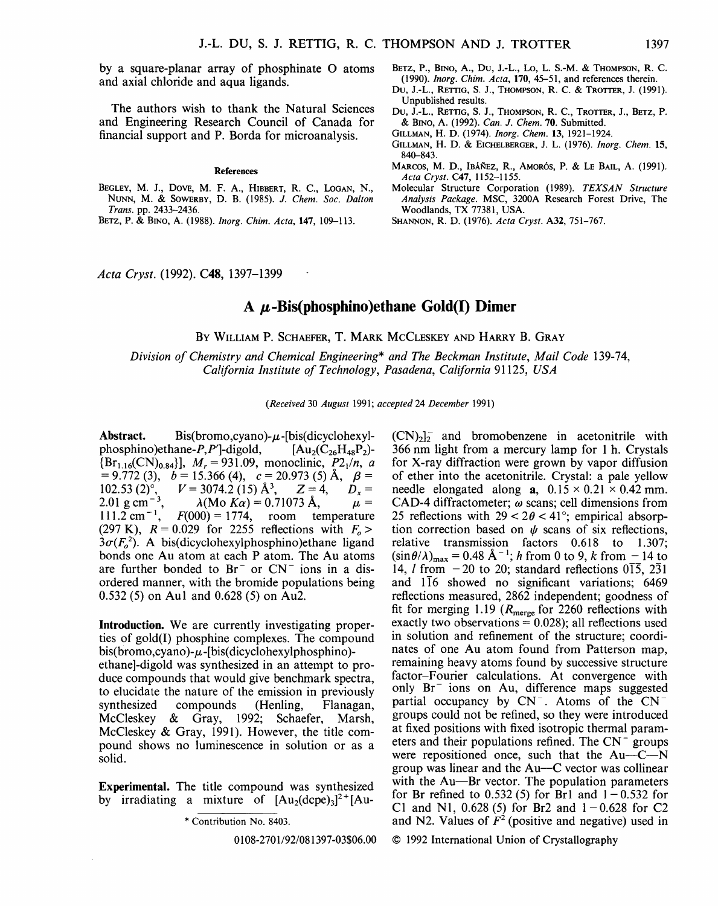by a square-planar array of phosphinate 0 atoms and axial chloride and aqua ligands.

The authors wish to thank the Natural Sciences and Engineering Research Council of Canada for financial support and P. Borda for microanalysis.

#### References

BEGLEY, M. J., DOVE, M. F. A., HIBBERT, R. C., LOGAN, N., NUNN, M. & SOWERBY, D. B. (1985). J. *Chem. Soc. Dalton Trans.* pp. 2433-2436.

BETZ, P. & BINo, A. (1988). *lnorg. Chim. Acta,* 147, 109-113.

- BETZ, P., BINO, A., Du, J.-L., Lo, L. S.-M. & THOMPSON, R. C. (1990). *lnorg. Chim. Acta,* 170, 45-51, and references therein.
- Du, J.-L., RETTIG, S. J., THOMPSON, R. C. & TROTIER, J. (1991). Unpublished results.
- Du, J.-L., RETTIG, S. J., THOMPSON, R. C., TROTIER, J., BETZ, P. & BINO, A. (1992). *Can.* J. *Chem.* 70. Submitted.
- GILLMAN, H. D. (1974). *lnorg. Chem.* 13, 1921-1924.
- GILLMAN, H. D. & EICHELBERGER, J. L. (1976). *Inorg. Chem.* 15, 840-843.
- MARCOS, M. D., IBANEZ, R., AMOR6S, P. & LE BAIL, A. (1991). *Acta Cryst.* C47, 1152-1155.
- Molecular Structure Corporation (1989). *TEXSAN Structure Analysis Package.* MSC, 3200A Research Forest Drive, The Woodlands, TX 77381, USA.
- SHANNON, R. D. (1976). *Acta Cryst.* A32, 751-767.

*Acta Cryst.* (1992). C48, 1397-1399

## **A µ-Bis(phosphino)ethane Gold(I) Dimer**

BY WILLIAM P. SCHAEFER, T. MARK MCCLESKEY AND HARRY B. GRAY

*Division of Chemistry and Chemical Engineering\* and The Beckman Institute, Mail Code* 139-74, *California Institute of Technology, Pasadena, California* 91125, *USA* 

*(Received* 30 *August* 1991; *accepted* 24 *December* 1991)

Abstract. Bis(bromo,cyano)- $\mu$ -[bis(dicyclohexylphosphino)ethane-P, P'l-digold,  $[A_{u_2}(C_{26}H_{48}P_2) {Br}_{1.16}(CN)_{0.84}$ ,  $M_r = 931.09$ , monoclinic,  $P2_1/n$ , a  $= 9.772$  (3),  $b = 15.366$  (4),  $c = 20.973$  (5) Å,  $\beta =$  $102.53$  (2)<sup>o</sup>,<br>2.01 g cm<sup>-3</sup> 102.53 (2)<sup>o</sup>,  $V = 3074.2$  (15) Å<sup>3</sup>,  $Z = 4$ ,  $D_x = 2.01$  g cm<sup>-3</sup>,  $\lambda$ (Mo *Ka*) = 0.71073 Å,  $\mu =$  $\lambda$ (Mo *Ka*) = 0.71073 Å,  $\mu =$ <br> $F(000) = 1774$ , room temperature  $111.2$  cm<sup>-1</sup>. room temperature (297 K),  $R = 0.029$  for 2255 reflections with  $F<sub>o</sub>$  >  $3\sigma(F_o^2)$ . A bis(dicyclohexylphosphino)ethane ligand bonds one Au atom at each P atom. The Au atoms are further bonded to  $Br^-$  or  $CN^-$  ions in a disordered manner, with the bromide populations being 0.532 (5) on Aul and 0.628 (5) on Au2.

Introduction. We are currently investigating properties of gold(I) phosphine complexes. The compound  $bis(bromo,cyano) - \mu$ -[bis(dicyclohexylphosphino)ethane]-digold was synthesized in an attempt to produce compounds that would give benchmark spectra, to elucidate the nature of the emission in previously synthesized compounds (Henling, Flanagan, McCleskey & Gray, 1992; Schaefer, Marsh, McCleskey & Gray, 1991). However, the title compound shows no luminescence in solution or as a solid.

Experimental. The title compound was synthesized by irradiating a mixture of  $[Au_2(dope)_3]^2$ <sup>+</sup>[Au-

\* Contribution No. 8403.

0108-2701/92/081397-03\$06.00

 $(CN)<sub>2</sub>$ <sub>2</sub> and bromobenzene in acetonitrile with 366 nm light from a mercury lamp for 1 h. Crystals for X-ray diffraction were grown by vapor diffusion of ether into the acetonitrile. Crystal: a pale yellow needle elongated along **a**,  $0.15 \times 0.21 \times 0.42$  mm. CAD-4 diffractometer; *w* scans; cell dimensions from 25 reflections with  $29 < 2\theta < 41^{\circ}$ ; empirical absorption correction based on  $\psi$  scans of six reflections, relative transmission factors 0.618 to 1.307;  $(\sin \theta/\lambda)_{\text{max}} = 0.48 \text{ Å}^{-1}$ ; *h* from 0 to 9, *k* from -14 to 14, *l* from  $-20$  to 20; standard reflections  $0\overline{15}$ ,  $2\overline{3}1$ and  $1\overline{16}$  showed no significant variations; 6469 reflections measured, 2862 independent; goodness of fit for merging 1.19 ( $R_{\text{merge}}$  for 2260 reflections with exactly two observations  $= 0.028$ ); all reflections used in solution and refinement of the structure; coordinates of one Au atom found from Patterson map, remaining heavy atoms found by successive structure factor-Fourier calculations. At convergence with only Br<sup>-</sup> ions on Au, difference maps suggested partial occupancy by  $CN^-$ . Atoms of the  $CN^$ groups could not be refined, so they were introduced at fixed positions with fixed isotropic thermal parameters and their populations refined. The  $CN^-$  groups were repositioned once, such that the  $Au - C - N$ group was linear and the Au-C vector was collinear with the  $Au$ —Br vector. The population parameters for Br refined to  $0.532(5)$  for Br1 and  $1 - 0.532$  for Cl and N1, 0.628 (5) for Br2 and  $1 - 0.628$  for C2 and N2. Values of  $F^2$  (positive and negative) used in

© 1992 International Union of Crystallography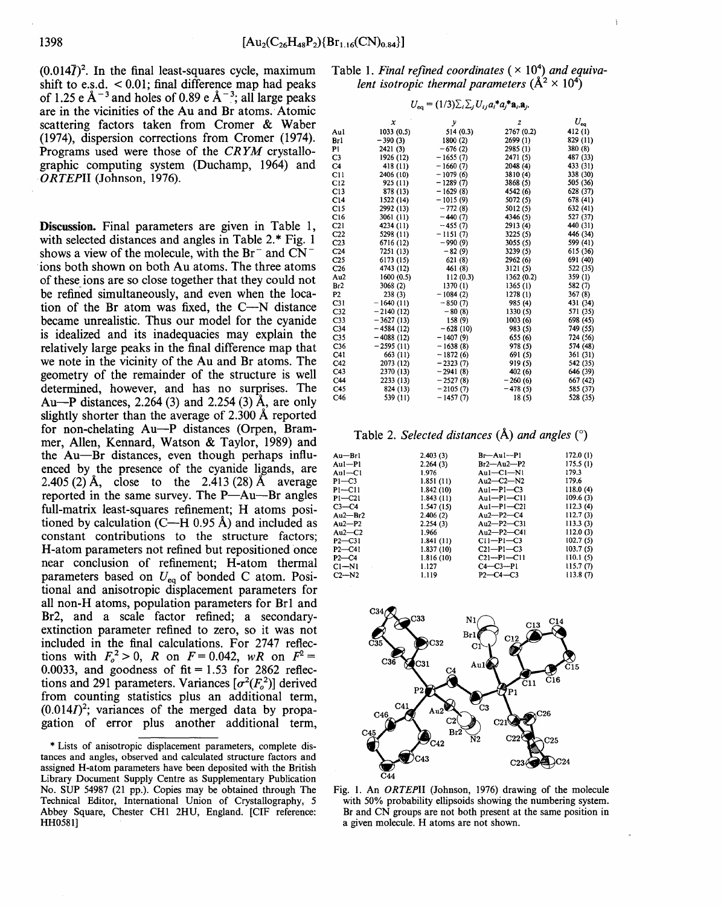$(0.014\overline{I})^2$ . In the final least-squares cycle, maximum shift to e.s.d.  $\leq 0.01$ ; final difference map had peaks of 1.25 e  $\AA$ <sup>-3</sup> and holes of 0.89 e  $\AA$ <sup>-3</sup>; all large peaks are in the vicinities of the Au and Br atoms. Atomic scattering factors taken from Cromer & Waber (1974), dispersion corrections from Cromer (1974). Programs used were those of the *CR YM* crystallographic computing system (Duchamp, 1964) and *ORTEPII* (Johnson, 1976).

Discussion. Final parameters are given in Table 1, with selected distances and angles in Table 2.\* Fig. 1 shows a view of the molecule, with the  $Br^-$  and  $CN^$ ions both shown on both Au atoms. The three atoms of these ions are so close together that they could not be refined simultaneously, and even when the location of the Br atom was fixed, the C-N distance became unrealistic. Thus our model for the cyanide is idealized and its inadequacies may explain the relatively large peaks in the final difference map that we note in the vicinity of the Au and Br atoms. The geometry of the remainder of the structure is well determined, however, and has no surprises. The Au-P distances, 2.264 (3) and 2.254 (3)  $\AA$ , are only slightly shorter than the average of 2.300 A reported for non-chelating Au-P distances (Orpen, Brammer, Allen, Kennard, Watson & Taylor, 1989) and the Au-Br distances, even though perhaps influenced by the presence of the cyanide ligands, are 2.405 (2) Å, close to the 2.413 (28) Å average reported in the same survey. The P-Au-Br angles full-matrix least-squares refinement; H atoms positioned by calculation (C—H  $0.95 \text{ Å}$ ) and included as constant contributions to the structure factors; H-atom parameters not refined but repositioned once near conclusion of refinement; H-atom thermal parameters based on  $U_{\text{eq}}$  of bonded C atom. Positional and anisotropic displacement parameters for all non-H atoms, population parameters for Brl and Br2, and a scale factor refined; a secondaryextinction parameter refined to zero, so it was not included in the final calculations. For 2747 reflections with  $F_o^2 > 0$ , *R* on  $F = 0.042$ , *wR* on  $F^2 =$ 0.0033, and goodness of  $fit = 1.53$  for 2862 reflections and 291 parameters. Variances  $[\sigma^2(F_o^2)]$  derived from counting statistics plus an additional term,  $(0.014I)^2$ ; variances of the merged data by propagation of error plus another additional term,

Table 1. *Final refined coordinates*  $(\times 10^4)$  *and equiva*lent isotropic thermal parameters  $(A^2 \times 10^4)$ 

$$
U_{\mathbf{eq}}=(1/3)\Sigma_i\Sigma_jU_{ij}a_i^*a_j^*\mathbf{a}_i.\mathbf{a}_j.
$$

|                 | x           | у          | z          | $U_{eq}$ |
|-----------------|-------------|------------|------------|----------|
| Aul             | 1033(0.5)   | 514 (0.3)  | 2767 (0.2) | 412(1)   |
| Brl             | $-390(3)$   | 1800 (2)   | 2699 (1)   | 829 (11) |
| P١              | 2421 (3)    | $-676(2)$  | 2985 (1)   | 380 (8)  |
| C3              | 1926 (12)   | $-1655(7)$ | 2471 (5)   | 487 (33) |
| C4              | 418 (11)    | $-1660(7)$ | 2048 (4)   | 433 (31) |
| C11             | 2406 (10)   | $-1079(6)$ | 3810 (4)   | 338 (30) |
| C12             | 925 (11)    | $-1289(7)$ | 3868 (5)   | 505 (36) |
| C13             | 878 (13)    | $-1629(8)$ | 4542 (6)   | 628 (37) |
| C14             | 1522 (14)   | $-1015(9)$ | 5072 (5)   | 678 (41) |
| C15             | 2992 (13)   | $-772(8)$  | 5012(5)    | 632 (41) |
| C16             | 3061 (11)   | $-440(7)$  | 4346 (5)   | 527 (37) |
| C21             | 4234 (11)   | $-455(7)$  | 2913 (4)   | 440 (31) |
| C22             | 5298 (11)   | $-1151(7)$ | 3225 (5)   | 446 (34) |
| C <sub>23</sub> | 6716 (12)   | $-990(9)$  | 3055(5)    | 599 (41) |
| C <sub>24</sub> | 7251 (13)   | $-82(9)$   | 3239 (5)   | 615 (36) |
| C25             | 6173 (15)   | 621(8)     | 2962 (6)   | 691 (40) |
| C <sub>26</sub> | 4743 (12)   | 461 (8)    | 3121(5)    | 522 (35) |
| Au2             | 1600(0.5)   | 112(0.3)   | 1362 (0.2) | 359 (1)  |
| Br2             | 3068(2)     | 1370(1)    | 1365(1)    | 582 (7)  |
| P2              | 238(3)      | $-1084(2)$ | 1278(1)    | 367(8)   |
| C31             | $-1640(11)$ | $-850(7)$  | 985 (4)    | 431 (34) |
| C <sub>32</sub> | $-2140(12)$ | $-80(8)$   | 1330 (5)   | 571 (35) |
| C <sub>33</sub> | $-3627(13)$ | 158 (9)    | 1003(6)    | 698 (45) |
| C34             | $-4584(12)$ | $-628(10)$ | 983 (5)    | 749 (55) |
| C <sub>35</sub> | $-4088(12)$ | $-1407(9)$ | 655 (6)    | 724 (56) |
| C <sub>36</sub> | $-2595(11)$ | $-1638(8)$ | 978 (5)    | 574 (48) |
| C41             | 663 (11)    | $-1872(6)$ | 691 (5)    | 361 (31) |
| C <sub>42</sub> | 2073 (12)   | $-2323(7)$ | 919 (5)    | 542 (35) |
| C43             | 2370 (13)   | $-2941(8)$ | 402 (6)    | 646 (39) |
| C44             | 2233 (13)   | $-2527(8)$ | $-260(6)$  | 667 (42) |
| C45             | 824 (13)    | $-2105(7)$ | $-478(5)$  | 585 (37) |
| C46             | 539 (11)    | $-1457(7)$ | 18(5)      | 528 (35) |
|                 |             |            |            |          |

Table 2. *Selected distances* (A) *and angles* (°)

| 2,403(3)  | Br—Au1—P1        | 172.0(1) |
|-----------|------------------|----------|
| 2.264(3)  | $Br2 - Au2 - P2$ | 175.5(1) |
| 1.976     | $Au1-C1-N1$      | 179.3    |
| 1.851(11) | Au2—C2—N2        | 179.6    |
| 1.842(10) | $Au1-P1-C3$      | 118.0(4) |
| 1.843(11) | $AuI-PI-ClI$     | 109.6(3) |
| 1.547(15) | Aul $-P1-C21$    | 112.3(4) |
| 2.406(2)  | $Au2 - P2 - C4$  | 112.7(3) |
| 2.254(3)  | $Au2-P2-C31$     | 113.3(3) |
| 1.966     | $Au2 - P2 - C41$ | 112.0(3) |
| 1.841(11) | $Cl1-P1-C3$      | 102.7(5) |
| 1.837(10) | $C21-P1-C3$      | 103.7(5) |
| 1.816(10) | $C21-P1-C11$     | 110.1(5) |
| 1.127     | $C4-C3-P1$       | 115.7(7) |
| 1.119     | $P2 - C4 - C3$   | 113.8(7) |
|           |                  |          |



Fig. 1. An *ORTEPII* (Johnson, 1976) drawing of the molecule with 50% probability ellipsoids showing the numbering system. Br and CN groups are not both present at the same position in a given molecule. H atoms are not shown.

<sup>\*</sup> Lists of anisotropic displacement parameters, complete distances and angles, observed and calculated structure factors and assigned H-atom parameters have been deposited with the British Library Document Supply Centre as Supplementary Publication No. SUP 54987 (21 pp.). Copies may be obtained through The Technical Editor, International Union of Crystallography, 5 Abbey Square, Chester CHI 2HU, England. [CIF reference: HH0581]